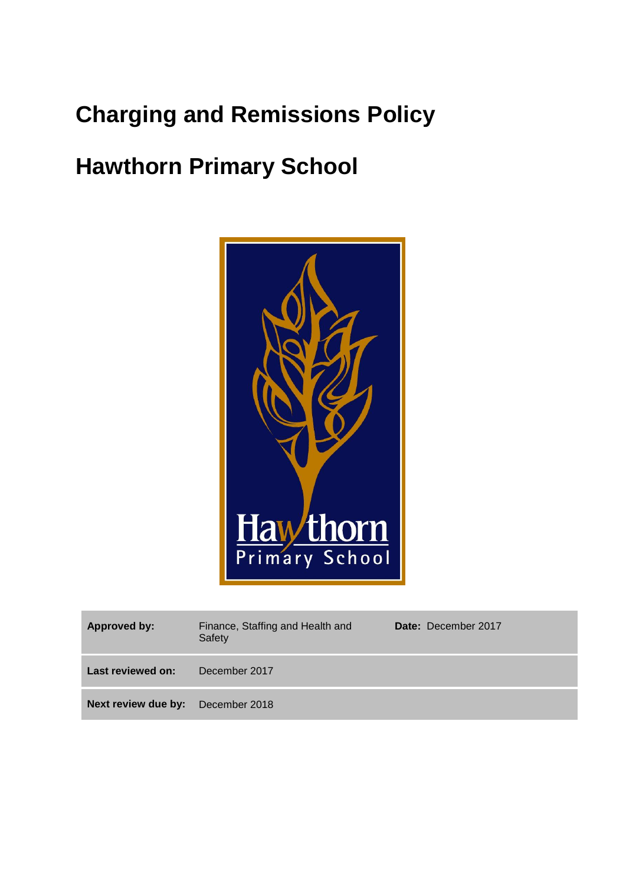# **Charging and Remissions Policy**

# **Hawthorn Primary School**



| Approved by:                             | Finance, Staffing and Health and<br>Safety | Date: December 2017 |
|------------------------------------------|--------------------------------------------|---------------------|
| Last reviewed on:                        | December 2017                              |                     |
| <b>Next review due by:</b> December 2018 |                                            |                     |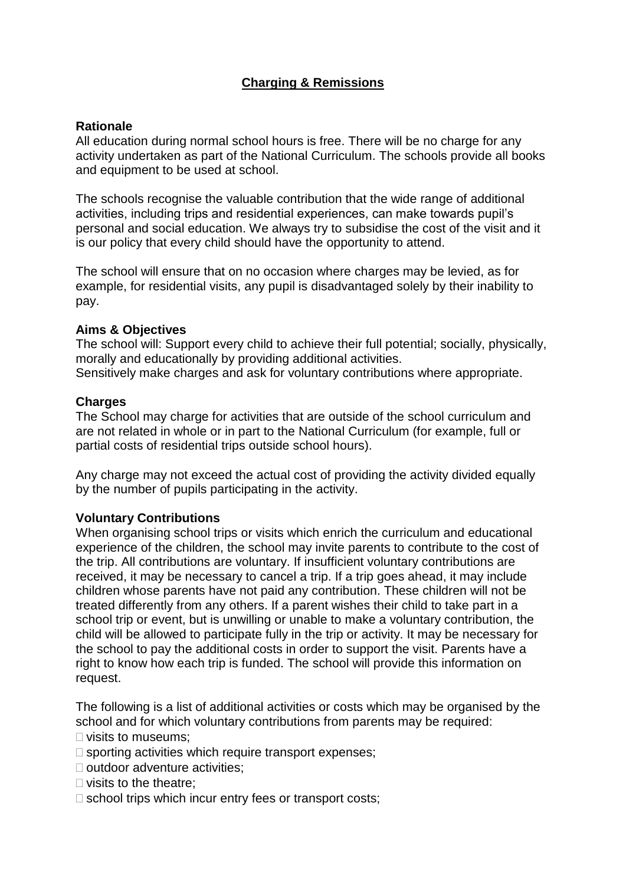# **Charging & Remissions**

# **Rationale**

All education during normal school hours is free. There will be no charge for any activity undertaken as part of the National Curriculum. The schools provide all books and equipment to be used at school.

The schools recognise the valuable contribution that the wide range of additional activities, including trips and residential experiences, can make towards pupil's personal and social education. We always try to subsidise the cost of the visit and it is our policy that every child should have the opportunity to attend.

The school will ensure that on no occasion where charges may be levied, as for example, for residential visits, any pupil is disadvantaged solely by their inability to pay.

# **Aims & Objectives**

The school will: Support every child to achieve their full potential; socially, physically, morally and educationally by providing additional activities. Sensitively make charges and ask for voluntary contributions where appropriate.

#### **Charges**

The School may charge for activities that are outside of the school curriculum and are not related in whole or in part to the National Curriculum (for example, full or partial costs of residential trips outside school hours).

Any charge may not exceed the actual cost of providing the activity divided equally by the number of pupils participating in the activity.

# **Voluntary Contributions**

When organising school trips or visits which enrich the curriculum and educational experience of the children, the school may invite parents to contribute to the cost of the trip. All contributions are voluntary. If insufficient voluntary contributions are received, it may be necessary to cancel a trip. If a trip goes ahead, it may include children whose parents have not paid any contribution. These children will not be treated differently from any others. If a parent wishes their child to take part in a school trip or event, but is unwilling or unable to make a voluntary contribution, the child will be allowed to participate fully in the trip or activity. It may be necessary for the school to pay the additional costs in order to support the visit. Parents have a right to know how each trip is funded. The school will provide this information on request.

The following is a list of additional activities or costs which may be organised by the school and for which voluntary contributions from parents may be required:

 $\square$  visits to museums:

- $\square$  sporting activities which require transport expenses;
- $\Box$  outdoor adventure activities:
- $\Box$  visits to the theatre:
- $\square$  school trips which incur entry fees or transport costs;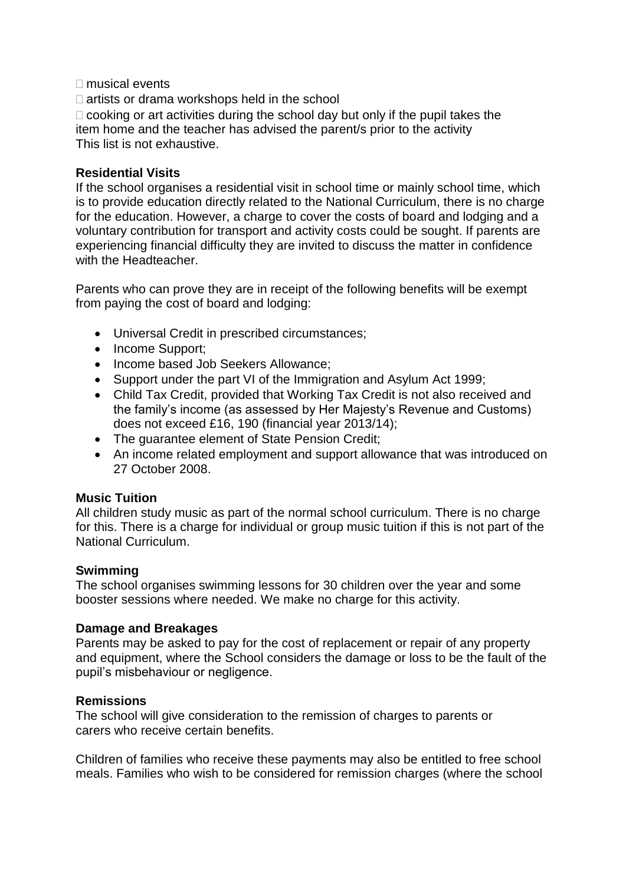#### $\Box$  musical events

 $\Box$  artists or drama workshops held in the school

 $\Box$  cooking or art activities during the school day but only if the pupil takes the item home and the teacher has advised the parent/s prior to the activity This list is not exhaustive.

#### **Residential Visits**

If the school organises a residential visit in school time or mainly school time, which is to provide education directly related to the National Curriculum, there is no charge for the education. However, a charge to cover the costs of board and lodging and a voluntary contribution for transport and activity costs could be sought. If parents are experiencing financial difficulty they are invited to discuss the matter in confidence with the Headteacher.

Parents who can prove they are in receipt of the following benefits will be exempt from paying the cost of board and lodging:

- Universal Credit in prescribed circumstances;
- Income Support;
- Income based Job Seekers Allowance:
- Support under the part VI of the Immigration and Asylum Act 1999;
- Child Tax Credit, provided that Working Tax Credit is not also received and the family's income (as assessed by Her Majesty's Revenue and Customs) does not exceed £16, 190 (financial year 2013/14);
- The quarantee element of State Pension Credit;
- An income related employment and support allowance that was introduced on 27 October 2008.

# **Music Tuition**

All children study music as part of the normal school curriculum. There is no charge for this. There is a charge for individual or group music tuition if this is not part of the National Curriculum.

# **Swimming**

The school organises swimming lessons for 30 children over the year and some booster sessions where needed. We make no charge for this activity.

# **Damage and Breakages**

Parents may be asked to pay for the cost of replacement or repair of any property and equipment, where the School considers the damage or loss to be the fault of the pupil's misbehaviour or negligence.

# **Remissions**

The school will give consideration to the remission of charges to parents or carers who receive certain benefits.

Children of families who receive these payments may also be entitled to free school meals. Families who wish to be considered for remission charges (where the school